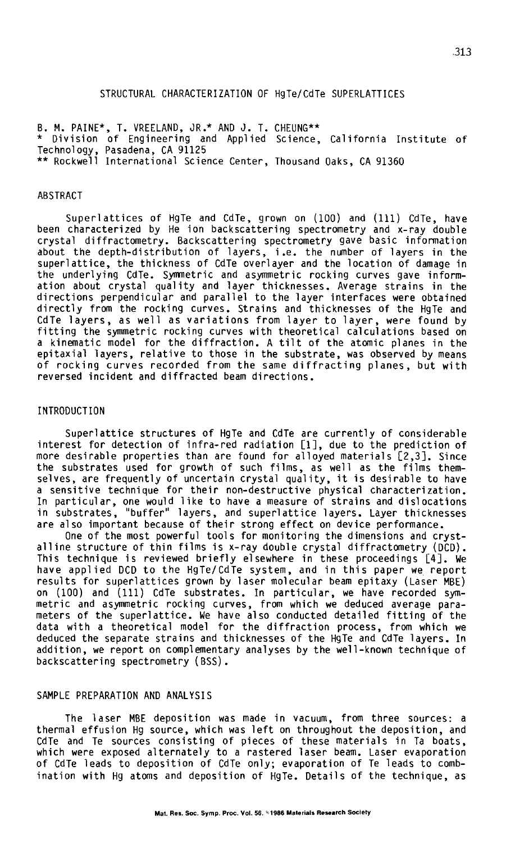# STRUCTURAL CHARACTERIZATION OF HgTe/CdTe SUPERLATTICES

B. M. PAINE\*, T. VREELAND, JR.\* AND J. T. CHEUNG\*\* \* Division of Engineering and Applied Science, California Institute of Technology, Pasadena, CA 91125 \*\*Rockwell International Science Center, Thousand Oaks, CA 91360

## ABSTRACT

Superl attices of HgTe and CdTe, grown on (100) and (111) CdTe, have been characterized by He ion backscattering spectrometry and x-ray double crystal diffractometry. Backscattering spectrometry gave basic information about the depth-distribution of layers, i.e. the number of layers in the superlattice, the thickness of CdTe overlayer and the location of damage in the underlying CdTe. Symmetric and asymmetric rocking curves gave information about crystal quality and layer thicknesses. Average strains in the directions perpendicular and parallel to the layer interfaces were obtained directly from the rocking curves. Strains and thicknesses of the HgTe and CdTe layers, as well as variations from layer to layer, were found by<br>fitting the symmetric rocking curves with theoretical calculations based on fitting the symmetric rocking curves with theoretical calculations based on<br>a kinematic model for the diffraction. A tilt of the atomic planes in the epitaxial layers, relative to those in the substrate, was observed by means<br>of rocking curves recorded from the same diffracting planes, but with reversed incident and diffracted beam directions.

#### INTRODUCTION

Superlattice structures of HgTe and CdTe are currently of considerable interest for detection of infra-red radiation [1], due to the prediction of more desirable properties than are found for alloyed materials [2,3]. Since the substrates used for growth of such films, as well as the films them-<br>selves, are frequently of uncertain crystal quality, it is desirable to have<br>a sensitive technique for their non-destructive physical characterizatio a sensitive technique for their non-destructive physical characterization.<br>In particular, one would like to have a measure of strains and dislocations in substrates, "buffer" layers, and superlattice layers. Layer thicknesses are also important because of their strong effect on device performance.

One of the most powerful tools for monitoring the dimensions and crystalline structure of thin films is x-ray double crystal diffractometry (DCD). This technique is reviewed briefly elsewhere in these proceedings [4]. We have applied DCD to the HgTe/CdTe system, and in this paper we report on (100) and (111) CdTe substrates. In particular, we have recorded symmetric and asymmetric rocking curves, from which we deduced average parameters of the superlattice. We have also conducted detailed fitting of the data with a theoretical model for the diffraction process, from which we deduced the separate strains and thicknesses of the HgTe and CdTe layers. In addition, we report on complementary analyses by the well-known technique of backscattering spectrometry (BSS).

# SAMPLE PREPARATION AND ANALYSIS

The laser MBE deposition was made in vacuum, from three sources: a thermal effusion Hg source, which was left on throughout the deposition, and CdTe and Te sources consisting of pieces of these materials in Ta boats,<br>which were exposed alternately to a rastered laser beam. Laser evaporation<br>of CdTe leads to deposition of CdTe only; evaporation of Te leads to combination with Hg atoms and deposition of HgTe. Details of the technique, as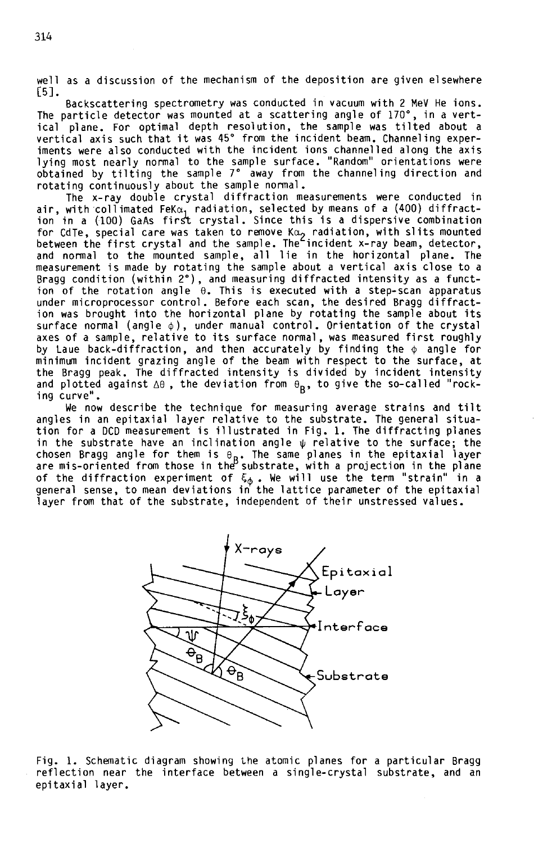well as a discussion of the mechanism of the deposition are given elsewhere [5].

Backscattering spectrometry was conducted in vacuum with 2 MeV He ions. The particle detector was mounted at a scattering angle of 170°, in a vert-<br>ical plane. For optimal depth resolution, the sample was tilted about a vertical axis such that it was 45° from the incident beam. Channeling exper-<br>iments were also conducted with the incident ions channelled along the axis lying most nearly normal to the sample surface. "Random" orientations were obtained by tilting the sample 7° away from the channeling direction and rotating continuously about the sample normal.

The x-ray double crystal diffraction measurements were conducted in air, with collimated FeK $\alpha_1^+$  radiation, selected by means of a (400) diffraction in a (100) GaAs first crystal. Since this is a dispersive combination for CdTe, special care was taken to remove K $\alpha$ , radiation, with slits mounted between the first crystal and the sample. The incident x-ray beam, detector, and normal to the mounted sample, all lie in the horizontal plane. The measurement is made by rotating the sample about a vertical axis close to a Bragg condition (within 2°), and measuring diffracted intensity as a function of the rotation angle  $\theta$ . This is executed with a step-scan apparatus under microprocessor control. Before each scan, the desired Bragg diffraction was brought into the horizontal plane by rotating the sample about its<br>surface normal (angle  $\phi$ ), under manual control. Orientation of the crystal axes of a sample, relative to its surface normal, was measured first roughly by Laue back-diffraction, and then accurately by finding the  $\phi$  angle for minimum incident grazing angle of the beam with respect to the surface, at<br>the Bragg peak. The diffracted intensity is divided by incident intensity and plotted against  $\Delta\theta$ , the deviation from  $\theta_B$ , to give the so-called "rocking curve".

We now describe the technique for measuring average strains and tilt angles in an epitaxial layer relative to the substrate. The general situation for a DCD measurement is illustrated in Fig. 1. The diffracting planes in the substrate have an inclination angle  $\psi$  relative to the surface; the chosen Bragg angle for them is  $_{\mathsf{B}}$ . The same planes in the epitaxial layer<br>are mis-oriented from those in the substrate, with a projection in the plane of the diffraction experiment of  $\xi_\Phi$  . We will use the term "strain" in a<br>general sense, to mean deviations in the lattice parameter of the epitaxial layer from that of the substrate, independent of their unstressed values.



Fig. 1. Schematic diagram showing the atomic planes for a particular Bragg reflection near the interface between a single-crystal substrate, and an<br>epitaxial layer.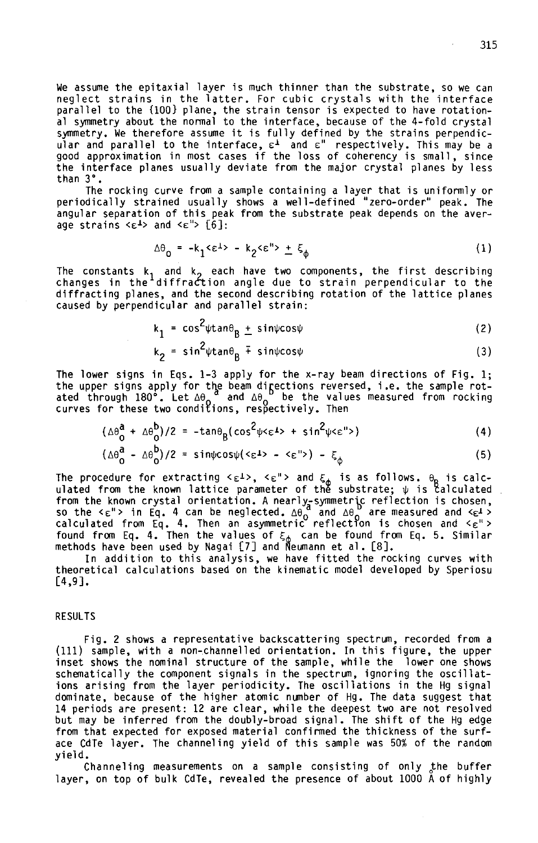We assume the epitaxial layer is much thinner than the substrate, so we can<br>neglect strains in the latter. For cubic crystals with the interface parallel to the {100} plane, the strain tensor is expected to have rotational symmetry about the normal to the interface, because of the 4-fold crystal symmetry. We therefore assume it is fully defined by the strains perpendicular and parallel to the interface,  $\varepsilon^{\perp}$  and  $\varepsilon$ " respectively. This may be a good approximation in most cases if the loss of coherency is small, since the interface planes usually deviate from the major crystal planes by less than 3°.<br>The rocking curve from a sample containing a layer that is uniformly or

periodically strained usually shows a well-defined "zero-order" peak. The angular separation of this peak from the substrate peak depends on the aver-<br>age strains <E<sup>1</sup>> and <E<sup>"></sup> [6]:

$$
\Delta\theta_{\Omega} = -k_1 \langle \epsilon^{\perp} \rangle - k_2 \langle \epsilon^{\prime\prime} \rangle + \xi_{\Lambda} \tag{1}
$$

The constants k<sub>1</sub> and k<sub>2</sub> each have two components, the first describing<br>changes in the diffra*c*tion angle due to strain perpendicular to the diffracting planes, and the second describing rotation of the lattice planes caused by perpendicular and parallel strain:

$$
k_1 = \cos^2 \psi \tan \theta_B \pm \sin \psi \cos \psi
$$
 (2)

$$
k_2 = \sin^2 \psi \tan \theta_B + \sin \psi \cos \psi
$$
 (3)

The lower signs in Eqs. 1-3 apply for the x-ray beam directions of Fig. 1; the upper signs apply for the beam directions reversed, i.e. the sample rotated through 180°. Let  $\Delta\theta_o^{\phantom{o}a}$  and  $\Delta\theta_o^{\phantom{o}b}$  be the values measured from rocking<br>curves for these two conditions, respectively. Then

$$
(\Delta\theta_0^a + \Delta\theta_0^b)/2 = -\tan\theta_B(\cos^2\psi\epsilon\epsilon^{\frac{1}{2}}) + \sin^2\psi\epsilon^{\frac{1}{2}})
$$
 (4)

$$
(\Delta\theta_{0}^{a} - \Delta\theta_{0}^{b})/2 = sin\psi cos\psi (2\epsilon^{b} - 2\epsilon^{b}) - \xi_{b}
$$
 (5)

The procedure for extracting < $\epsilon$ <sup>1</sup>>, < $\epsilon$ "> and  $\xi_{\rm A}$  is as follows.  $\theta_{\rm D}$  is calculated from the known lattice parameter of the substrate;  $\psi$  is calculated<br>from the known crystal orientation. A nearly-symmetric reflection is chosen,<br>so the < $\epsilon$ "> in Eq. 4 can be neglected.  $\Delta\theta_0^2$  and  $\Delta\theta_0^2$ found from Eq. 4. Then the values of  $\xi_{\phi}$  can be found from Eq. 5. Similar<br>methods have been used by Nagai [7] and Neumann et al. [8].

In addition to this analysis, we have fitted the rocking curves with theoretical calculations based on the kinematic model developed by Speriosu [4,9).

### RESULTS

Fig. 2 shows a representative backscattering spectrum, recorded from a (111) sample, with a non-channelled orientation. In this figure, the upper inset shows the nominal structure of the sample, while the lower one shows schematically the component signals in the spectrum, ignoring the oscillations arising from the layer periodicity. The oscillations in the Hg signal dominate, because of the higher atomic number of Hg. The data suggest that 14 periods are present: 12 are clear, while the deepest two are not resolved but may be inferred from the doubly-broad signal. The shift of the Hg edge ace CdTe layer. The channeling yield of this sample was 50% of the random

yield.<br>Channeling measurements on a sample consisting of only the buffer layer, on top of bulk CdTe, revealed the presence of about 1000 A of highly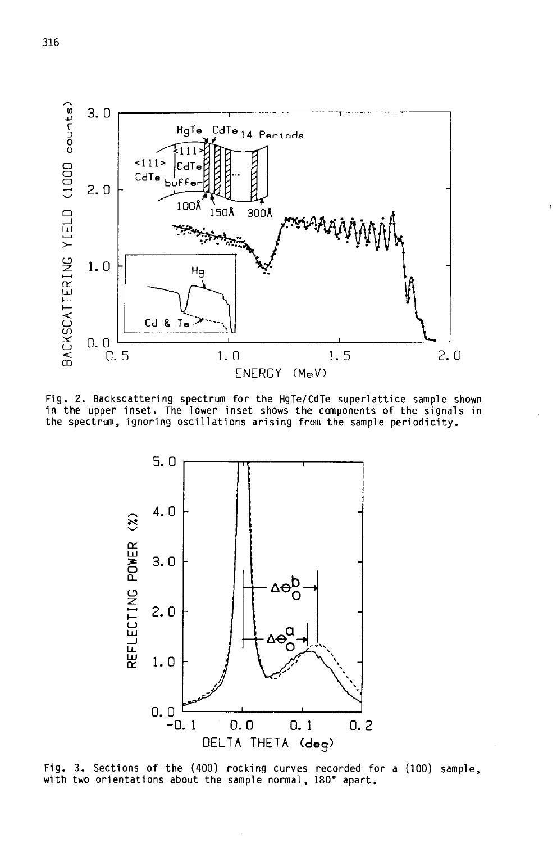

Fig. 2. Backscattering spectrum for the HgTe/CdTe superlattice sample shown in the upper inset. The lower inset shows the components of the signals in the spectrum, ignoring oscillations arising from the sample periodicity.



Fig. 3. Sections of the (400) rocking curves recorded for a (100) sample, with two orientations about the sample normal, 180° apart.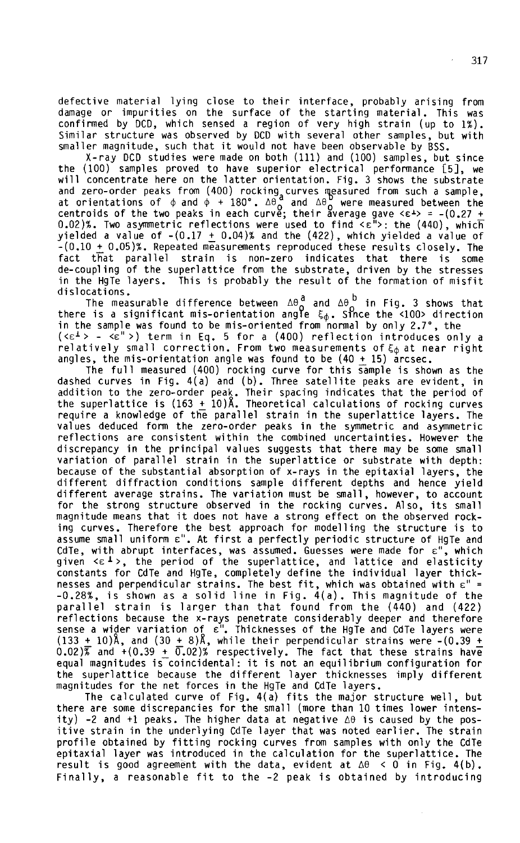defective material lying close to their interface, probably arising from damage or impurities on the surface of the starting material. This was confirmed by DCD, which sensed a region of very high strain (up to 1%). Similar structure was observed by DCD with several other samples, but with smaller magnitude, such that it would not have been observable by BSS.

X-ray DCD studies were made on both (111) and (100) samples, but since the (100) samples proved to have superior electrical performance [5], we will concentrate here on the latter orientation. Fig. 3 shows the substrate and zero-order peaks from (400) rocking curves measured from such a sample, at orientations of φ and φ + 180°. Δθος and Δθος were measured between the centroids of the two peaks in each curve; their average gave <ε<sup>1</sup>> = -(0.27 + 0.02)%. Two asymmetric reflections were used to find  $\leq \varepsilon$ ">: the (440), whic $\overline{\mathsf{h}}$ yielded a value of  $-(0.17 + 0.04)$ % and the (422), which yielded a value of  $-(0.10 + 0.05)\%$ . Repeated measurements reproduced these results closely. The fact that parallel strain is non-zero indicates that there is some de-coupling of the superlattice from the substrate, driven by the stresses in the HgTe layers. This is probably the result of the formation of misfit

dislocations.<br>The measurable difference between  $\Delta\theta_{\Omega}^{\text{d}}$  and  $\Delta\theta_{\Omega}^{\text{b}}$  in Fig. 3 shows that there is a significant mis-orientation angle  $\xi_\Phi$ . Since the <100> direction in the sample was found to be mis-oriented from normal by only 2.7°, the (< $\epsilon^{\perp}$ > - < $\epsilon^{\parallel}$ >) term in Eq. 5 for a (400) reflection introduces only a relatively small correction. From two measurements of  $\xi_\varphi$  at near right<br>angles, the mis-orientation angle was found to be (40 + 15) arcsec.

The full measured (400) rocking curve for this sample is shown as the dashed curves in Fig. 4(a) and (b). Three satellite peaks are evident, in addition to the zero-order peak. Their spacing indicates that the period of the superlattice is  $(163 + 10)\text{\AA}$ . Theoretical calculations of rocking curves require a knowledge of the parallel strain in the superlattice layers. The values deduced form the zero-order peaks in the symmetric and asymmetric reflections are consistent within the combined uncertainties. However the discrepancy in the principal values suggests that there may be some small variation of parallel strain in the superlattice or substrate with depth: because of the substantial absorption of x-rays in the epitaxial layers, the different diffraction conditions sample different depths and hence yield different average strains. The variation must be small, however, to account for the strong structure observed in the rocking curves. Also, its small magnitude means that it does not have a strong effect on the observed rocking curves. Therefore the best approach for modelling the structure is to assume small uniform  $\varepsilon$ ". At first a perfectly periodic structure of HgTe and CdTe, with abrupt interfaces, was assumed. Guesses were made for ɛ", which<br>given <ɛʲ>, the period of the superlattice, and lattice and elasticity constants for CdTe and HgTe, completely define the individual layer thicknesses and perpendicular strains. The best fit, which was obtained with  $\varepsilon$ " = -0.28%, is shown as a solid line in Fig. 4(a). This magnitude of the parallel strain is larger than that found from the (440) and (422) reflections because the x-rays penetrate considerably deeper and therefore sense a wider variation of ɛ". Thicknesses of the HgTe and CdTe layers were<br>(133 <u>+</u> 10)A, and (30 <u>+</u> 8)A, while their perpendicular strains were –(0.39 <u>+</u>  $0.02)$  and  $+(0.39 + \overline{0.02})$  respectively. The fact that these strains have equal magnitudes is coincidental: it is not an equilibrium configuration for the superlattice because the different layer thicknesses imply different

magnitudes for the net forces in the HgTe and CdTe layers. The calculated curve of Fig. 4(a) fits the major structure well, but there are some discrepancies for the small (more than 10 times lower intensity) -2 and +1 peaks. The higher data at negative  $\Delta\theta$  is caused by the positive strain in the underlying CdTe layer that was noted earlier. The strain profile obtained by fitting rocking curves from samples with only the CdTe epitaxial layer was introduced in the calculation for the superlattice. The result is good agreement with the data, evident at  $\Delta\theta$  < 0 in Fig. 4(b). Finally, a reasonable fit to the -2 peak is obtained by introducing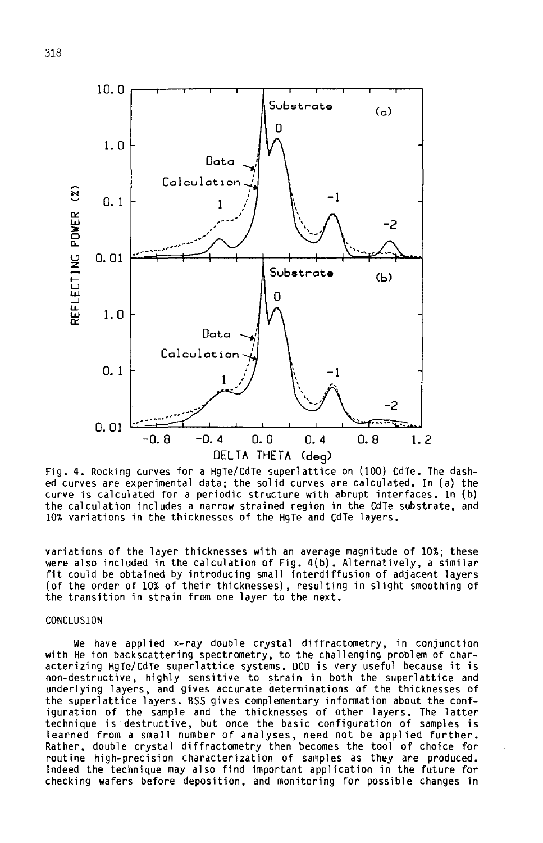

Fig. 4. Rocking curves for a HgTe/CdTe superlattice on (100) CdTe. The dashed curves are experimental data; the solid curves are calculated. In (a) the curve is calculated for a periodic structure with abrupt interfaces. In (b) the calculation includes a narrow strained region in the CdTe substrate, and 10% variations in the thicknesses of the HgTe and CdTe layers.

variations of the layer thicknesses with an average magnitude of 10%; these were also included in the calculation of Fig. 4(b). Alternatively, a similar fit could be obtained by introducing small interdiffusion of adjacent layers (of the order of 10% of their thicknesses), resulting in slight smoothing of the transition in strain from one layer to the next.

# CONCLUSION

We have applied x-ray double crystal diffractometry, in conjunction with He ion backscattering spectrometry, to the challenging problem of characterizing HgTe/CdTe superlattice systems. DCD is very useful because it is non-destructive, highly sensitive to strain in both the superlattice and underlying layers, and gives accurate determinations of the thicknesses of the superlattice layers. BSS gives complementary information about the configuration of the sample and the thicknesses of other layers. The latter technique is destructive, but once the basic configuration of samples is learned from a small number of analyses, need not be applied further. Rather, double crystal diffractometry then becomes the tool of choice for routine high-precision characterization of samples as they are produced.<br>Indeed the technique may also find important application in the future for checking wafers before deposition, and monitoring for possible changes in